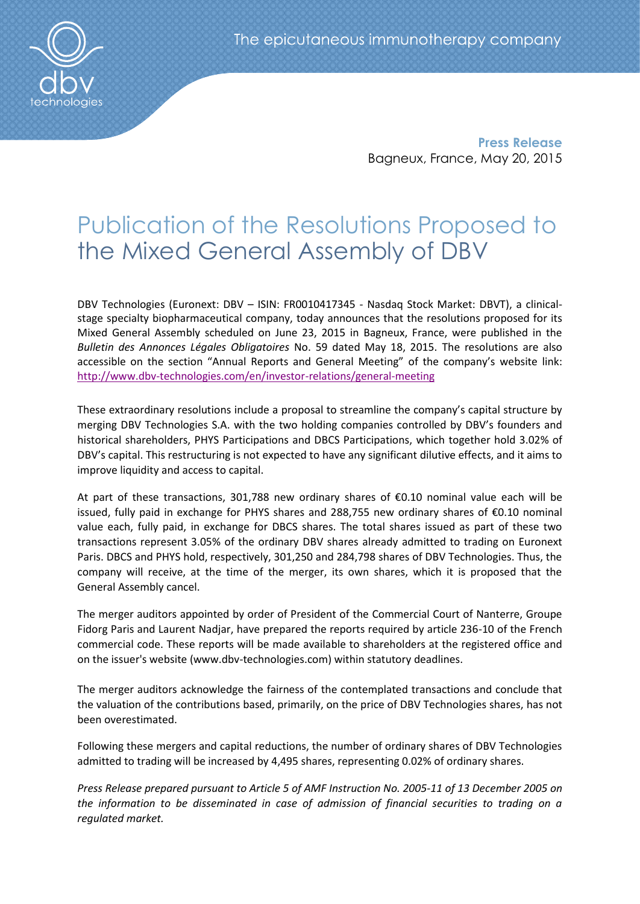

**Press Release** Bagneux, France, May 20, 2015

# Publication of the Resolutions Proposed to the Mixed General Assembly of DBV

DBV Technologies (Euronext: DBV – ISIN: FR0010417345 - Nasdaq Stock Market: DBVT), a clinicalstage specialty biopharmaceutical company, today announces that the resolutions proposed for its Mixed General Assembly scheduled on June 23, 2015 in Bagneux, France, were published in the *Bulletin des Annonces Légales Obligatoires* No. 59 dated May 18, 2015. The resolutions are also accessible on the section "Annual Reports and General Meeting" of the company's website link: <http://www.dbv-technologies.com/en/investor-relations/general-meeting>

These extraordinary resolutions include a proposal to streamline the company's capital structure by merging DBV Technologies S.A. with the two holding companies controlled by DBV's founders and historical shareholders, PHYS Participations and DBCS Participations, which together hold 3.02% of DBV's capital. This restructuring is not expected to have any significant dilutive effects, and it aims to improve liquidity and access to capital.

At part of these transactions, 301,788 new ordinary shares of €0.10 nominal value each will be issued, fully paid in exchange for PHYS shares and 288,755 new ordinary shares of €0.10 nominal value each, fully paid, in exchange for DBCS shares. The total shares issued as part of these two transactions represent 3.05% of the ordinary DBV shares already admitted to trading on Euronext Paris. DBCS and PHYS hold, respectively, 301,250 and 284,798 shares of DBV Technologies. Thus, the company will receive, at the time of the merger, its own shares, which it is proposed that the General Assembly cancel.

The merger auditors appointed by order of President of the Commercial Court of Nanterre, Groupe Fidorg Paris and Laurent Nadjar, have prepared the reports required by article 236-10 of the French commercial code. These reports will be made available to shareholders at the registered office and on the issuer's website (www.dbv-technologies.com) within statutory deadlines.

The merger auditors acknowledge the fairness of the contemplated transactions and conclude that the valuation of the contributions based, primarily, on the price of DBV Technologies shares, has not been overestimated.

Following these mergers and capital reductions, the number of ordinary shares of DBV Technologies admitted to trading will be increased by 4,495 shares, representing 0.02% of ordinary shares.

*Press Release prepared pursuant to Article 5 of AMF Instruction [No.](http://www.kpmg.com/fr/fr/about/partenariats/documents/adc-entreprises-2011/information-financiere-gouvernance/reco-amf-n2011-11.pdf) 2005-11 of 13 December 2005 on the information to be disseminated in case of admission of financial securities to trading on a regulated market.*